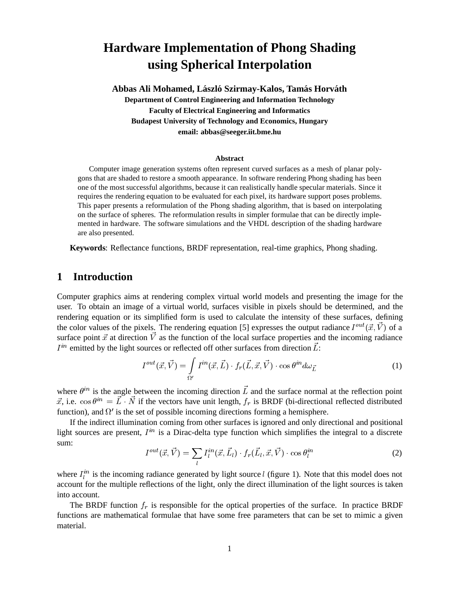# **Hardware Implementation of Phong Shading using Spherical Interpolation**

Abbas Ali Mohamed, László Szirmay-Kalos, Tamás Horváth **Department of Control Engineering and Information Technology Faculty of Electrical Engineering and Informatics Budapest University of Technology and Economics, Hungary email: abbas@seeger.iit.bme.hu**

#### **Abstract**

Computer image generation systems often represent curved surfaces as a mesh of planar polygons that are shaded to restore a smooth appearance. In software rendering Phong shading has been one of the most successful algorithms, because it can realistically handle specular materials. Since it requires the rendering equation to be evaluated for each pixel, its hardware support poses problems. This paper presents a reformulation of the Phong shading algorithm, that is based on interpolating on the surface of spheres. The reformulation results in simpler formulae that can be directly implemented in hardware. The software simulations and the VHDL description of the shading hardware are also presented.

**Keywords**: Reflectance functions, BRDF representation, real-time graphics, Phong shading.

## **1 Introduction**

Computer graphics aims at rendering complex virtual world models and presenting the image for the user. To obtain an image of a virtual world, surfaces visible in pixels should be determined, and the rendering equation or its simplified form is used to calculate the intensity of these surfaces, defining the color values of the pixels. The rendering equation [5] expresses the output radiance  $I^{out}(\vec{x}, V)$  of a surface point  $\vec{x}$  at direction  $\vec{V}$  as the function of the local surface properties and the incoming radiance  $I^{in}$  emitted by the light sources or reflected off other surfaces from direction  $\dot{L}$ :

$$
I^{out}(\vec{x}, \vec{V}) = \int_{\Omega'} I^{in}(\vec{x}, \vec{L}) \cdot f_r(\vec{L}, \vec{x}, \vec{V}) \cdot \cos \theta^{in} d\omega_{\vec{L}}
$$
(1)

where  $\theta^{in}$  is the angle between the incoming direction L and the surface normal at the reflection point  $\vec{x}$ , i.e.  $\cos \theta^{in} = L \cdot N$  if the vectors have unit length,  $f_r$  is BRDF (bi-directional reflected distributed function), and  $\Omega'$  is the set of possible incoming directions forming a hemisphere.

If the indirect illumination coming from other surfaces is ignored and only directional and positional light sources are present,  $I^{in}$  is a Dirac-delta type function which simplifies the integral to a discrete sum:

$$
I^{out}(\vec{x}, \vec{V}) = \sum_{l} I^{in}_{l}(\vec{x}, \vec{L}_{l}) \cdot f_{r}(\vec{L}_{l}, \vec{x}, \vec{V}) \cdot \cos \theta_{l}^{in}
$$
 (2)

where  $I_l^{in}$  is the incoming radiance generated by light source *l* (figure 1). Note that this model does not account for the multiple reflections of the light, only the direct illumination of the light sources is taken into account.

The BRDF function  $f_r$  is responsible for the optical properties of the surface. In practice BRDF functions are mathematical formulae that have some free parameters that can be set to mimic a given material.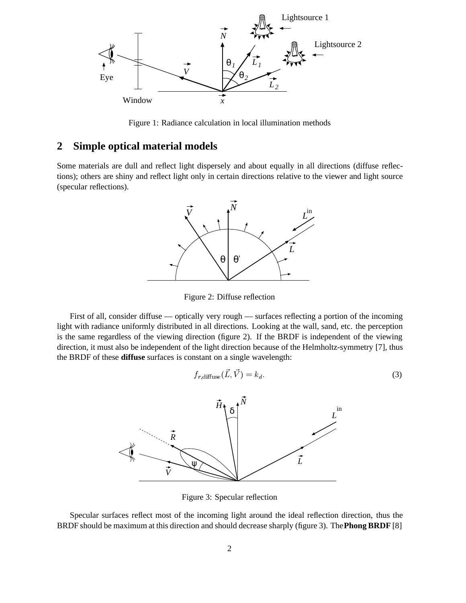

Figure 1: Radiance calculation in local illumination methods

### **2 Simple optical material models**

Some materials are dull and reflect light dispersely and about equally in all directions (diffuse reflections); others are shiny and reflect light only in certain directions relative to the viewer and light source (specular reflections).



Figure 2: Diffuse reflection

First of all, consider diffuse — optically very rough — surfaces reflecting a portion of the incoming light with radiance uniformly distributed in all directions. Looking at the wall, sand, etc. the perception is the same regardless of the viewing direction (figure 2). If the BRDF is independent of the viewing direction, it must also be independent of the light direction because of the Helmholtz-symmetry [7], thus the BRDF of these **diffuse** surfaces is constant on a single wavelength:

$$
f_{r,\text{diffuse}}(L,V) = k_d. \tag{3}
$$



Figure 3: Specular reflection

Specular surfaces reflect most of the incoming light around the ideal reflection direction, thus the BRDF should be maximum at this direction and should decrease sharply (figure 3). The**Phong BRDF** [8]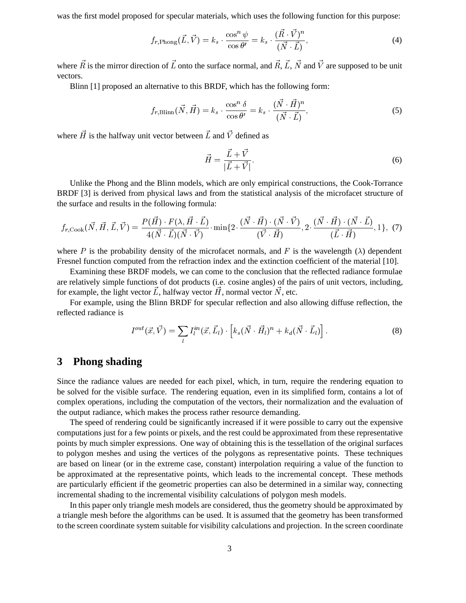was the first model proposed for specular materials, which uses the following function for this purpose:

$$
f_{r,\text{Phong}}(\vec{L}, \vec{V}) = k_s \cdot \frac{\cos^n \psi}{\cos \theta'} = k_s \cdot \frac{(\vec{R} \cdot \vec{V})^n}{(\vec{N} \cdot \vec{L})},\tag{4}
$$

where R is the mirror direction of L onto the surface normal, and R, L, N and V are supposed to be unit vectors.

Blinn [1] proposed an alternative to this BRDF, which has the following form:

$$
f_{r,\text{Blinn}}(\vec{N},\vec{H}) = k_s \cdot \frac{\cos^n \delta}{\cos \theta'} = k_s \cdot \frac{(\vec{N} \cdot \vec{H})^n}{(\vec{N} \cdot \vec{L})},\tag{5}
$$

where H is the halfway unit vector between L and V defined as

$$
\vec{H} = \frac{\vec{L} + \vec{V}}{|\vec{L} + \vec{V}|}.
$$
\n(6)

Unlike the Phong and the Blinn models, which are only empirical constructions, the Cook-Torrance BRDF [3] is derived from physical laws and from the statistical analysis of the microfacet structure of the surface and results in the following formula:

$$
f_{r,\text{Cook}}(\vec{N},\vec{H},\vec{L},\vec{V}) = \frac{P(\vec{H}) \cdot F(\lambda, \vec{H} \cdot \vec{L})}{4(\vec{N} \cdot \vec{L})(\vec{N} \cdot \vec{V})} \cdot \min\{2 \cdot \frac{(\vec{N} \cdot \vec{H}) \cdot (\vec{N} \cdot \vec{V})}{(\vec{V} \cdot \vec{H})}, 2 \cdot \frac{(\vec{N} \cdot \vec{H}) \cdot (\vec{N} \cdot \vec{L})}{(\vec{L} \cdot \vec{H})}, 1\},\tag{7}
$$

where P is the probability density of the microfacet normals, and F is the wavelength  $(\lambda)$  dependent Fresnel function computed from the refraction index and the extinction coefficient of the material [10].

Examining these BRDF models, we can come to the conclusion that the reflected radiance formulae are relatively simple functions of dot products (i.e. cosine angles) of the pairs of unit vectors, including, for example, the light vector L, halfway vector H, normal vector N, etc.

For example, using the Blinn BRDF for specular reflection and also allowing diffuse reflection, the reflected radiance is

$$
I^{out}(\vec{x}, \vec{V}) = \sum_{l} I^{in}_{l}(\vec{x}, \vec{L}_{l}) \cdot \left[ k_{s} (\vec{N} \cdot \vec{H}_{l})^{n} + k_{d} (\vec{N} \cdot \vec{L}_{l}) \right]. \tag{8}
$$

### **3 Phong shading**

Since the radiance values are needed for each pixel, which, in turn, require the rendering equation to be solved for the visible surface. The rendering equation, even in its simplified form, contains a lot of complex operations, including the computation of the vectors, their normalization and the evaluation of the output radiance, which makes the process rather resource demanding.

The speed of rendering could be significantly increased if it were possible to carry out the expensive computations just for a few points or pixels, and the rest could be approximated from these representative points by much simpler expressions. One way of obtaining this is the tessellation of the original surfaces to polygon meshes and using the vertices of the polygons as representative points. These techniques are based on linear (or in the extreme case, constant) interpolation requiring a value of the function to be approximated at the representative points, which leads to the incremental concept. These methods are particularly efficient if the geometric properties can also be determined in a similar way, connecting incremental shading to the incremental visibility calculations of polygon mesh models.

In this paper only triangle mesh models are considered, thus the geometry should be approximated by a triangle mesh before the algorithms can be used. It is assumed that the geometry has been transformed to the screen coordinate system suitable for visibility calculations and projection. In the screen coordinate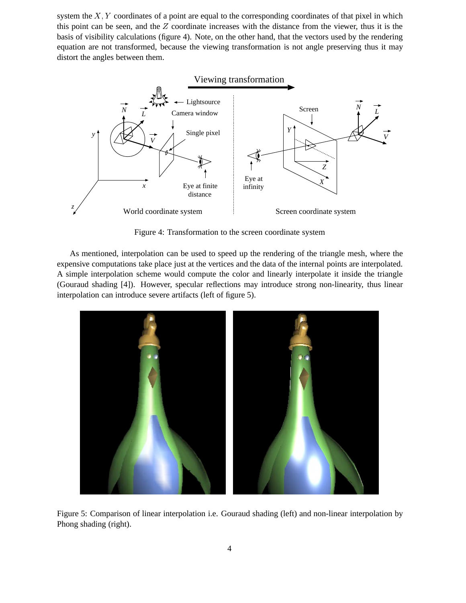system the  $X, Y$  coordinates of a point are equal to the corresponding coordinates of that pixel in which this point can be seen, and the  $Z$  coordinate increases with the distance from the viewer, thus it is the basis of visibility calculations (figure 4). Note, on the other hand, that the vectors used by the rendering equation are not transformed, because the viewing transformation is not angle preserving thus it may distort the angles between them.



Figure 4: Transformation to the screen coordinate system

As mentioned, interpolation can be used to speed up the rendering of the triangle mesh, where the expensive computations take place just at the vertices and the data of the internal points are interpolated. A simple interpolation scheme would compute the color and linearly interpolate it inside the triangle (Gouraud shading [4]). However, specular reflections may introduce strong non-linearity, thus linear interpolation can introduce severe artifacts (left of figure 5).



Figure 5: Comparison of linear interpolation i.e. Gouraud shading (left) and non-linear interpolation by Phong shading (right).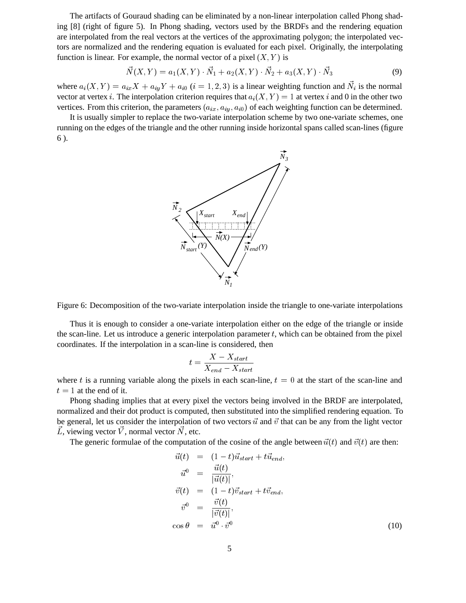The artifacts of Gouraud shading can be eliminated by a non-linear interpolation called Phong shading [8] (right of figure 5). In Phong shading, vectors used by the BRDFs and the rendering equation are interpolated from the real vectors at the vertices of the approximating polygon; the interpolated vectors are normalized and the rendering equation is evaluated for each pixel. Originally, the interpolating function is linear. For example, the normal vector of a pixel  $(X, Y)$  is

$$
\vec{N}(X,Y) = a_1(X,Y) \cdot \vec{N}_1 + a_2(X,Y) \cdot \vec{N}_2 + a_3(X,Y) \cdot \vec{N}_3 \tag{9}
$$

where  $a_i(X, Y) = a_{ix}X + a_{iy}Y + a_{i0}$   $(i = 1, 2, 3)$  is a linear weighting function and  $N_i$  is the normal vector at vertex i. The interpolation criterion requires that  $a_i(X, Y) = 1$  at vertex i and 0 in the other two vertices. From this criterion, the parameters  $(a_{ix}, a_{iy}, a_{i0})$  of each weighting function can be determined.

It is usually simpler to replace the two-variate interpolation scheme by two one-variate schemes, one running on the edges of the triangle and the other running inside horizontal spans called scan-lines (figure 6 ).



Figure 6: Decomposition of the two-variate interpolation inside the triangle to one-variate interpolations

Thus it is enough to consider a one-variate interpolation either on the edge of the triangle or inside the scan-line. Let us introduce a generic interpolation parameter  $t$ , which can be obtained from the pixel coordinates. If the interpolation in a scan-line is considered, then

$$
t = \frac{X - X_{start}}{X_{end} - X_{start}}
$$

where t is a running variable along the pixels in each scan-line,  $t = 0$  at the start of the scan-line and  $t = 1$  at the end of it.

Phong shading implies that at every pixel the vectors being involved in the BRDF are interpolated, normalized and their dot product is computed, then substituted into the simplified rendering equation. To be general, let us consider the interpolation of two vectors  $\vec{u}$  and  $\vec{v}$  that can be any from the light vector  $L$ , viewing vector  $V$ , normal vector  $N$ , etc.

The generic formulae of the computation of the cosine of the angle between  $\vec{u}(t)$  and  $\vec{v}(t)$  are then:

$$
\vec{u}(t) = (1-t)\vec{u}_{start} + t\vec{u}_{end},
$$
\n
$$
\vec{u}^0 = \frac{\vec{u}(t)}{|\vec{u}(t)|},
$$
\n
$$
\vec{v}(t) = (1-t)\vec{v}_{start} + t\vec{v}_{end},
$$
\n
$$
\vec{v}^0 = \frac{\vec{v}(t)}{|\vec{v}(t)|},
$$
\n
$$
\cos \theta = \vec{u}^0 \cdot \vec{v}^0
$$
\n(10)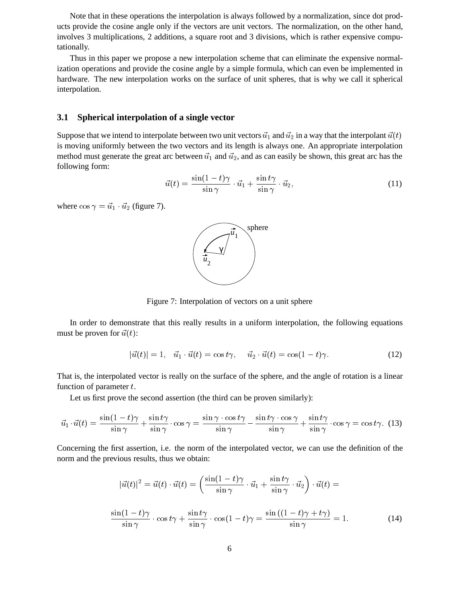Note that in these operations the interpolation is always followed by a normalization, since dot products provide the cosine angle only if the vectors are unit vectors. The normalization, on the other hand, involves 3 multiplications, 2 additions, a square root and 3 divisions, which is rather expensive computationally.

Thus in this paper we propose a new interpolation scheme that can eliminate the expensive normalization operations and provide the cosine angle by a simple formula, which can even be implemented in hardware. The new interpolation works on the surface of unit spheres, that is why we call it spherical interpolation.

### **3.1 Spherical interpolation of a single vector**

Suppose that we intend to interpolate between two unit vectors  $\vec{u}_1$  and  $\vec{u}_2$  in a way that the interpolant  $\vec{u}(t)$ is moving uniformly between the two vectors and its length is always one. An appropriate interpolation method must generate the great arc between  $\vec{u}_1$  and  $\vec{u}_2$ , and as can easily be shown, this great arc has the following form:

$$
\vec{u}(t) = \frac{\sin(1-t)\gamma}{\sin\gamma} \cdot \vec{u}_1 + \frac{\sin t\gamma}{\sin\gamma} \cdot \vec{u}_2,\tag{11}
$$

where  $\cos \gamma = \vec{u}_1 \cdot \vec{u}_2$  (figure 7).



Figure 7: Interpolation of vectors on a unit sphere

In order to demonstrate that this really results in a uniform interpolation, the following equations must be proven for  $\vec{u}(t)$ :

$$
|\vec{u}(t)| = 1, \quad \vec{u}_1 \cdot \vec{u}(t) = \cos t\gamma, \quad \vec{u}_2 \cdot \vec{u}(t) = \cos(1-t)\gamma. \tag{12}
$$

That is, the interpolated vector is really on the surface of the sphere, and the angle of rotation is a linear function of parameter  $t$ .

Let us first prove the second assertion (the third can be proven similarly):

$$
\vec{u}_1 \cdot \vec{u}(t) = \frac{\sin(1-t)\gamma}{\sin\gamma} + \frac{\sin t\gamma}{\sin\gamma} \cdot \cos\gamma = \frac{\sin\gamma \cdot \cos t\gamma}{\sin\gamma} - \frac{\sin t\gamma \cdot \cos\gamma}{\sin\gamma} + \frac{\sin t\gamma}{\sin\gamma} \cdot \cos\gamma = \cos t\gamma. \tag{13}
$$

Concerning the first assertion, i.e. the norm of the interpolated vector, we can use the definition of the norm and the previous results, thus we obtain:

$$
|\vec{u}(t)|^2 = \vec{u}(t) \cdot \vec{u}(t) = \left(\frac{\sin(1-t)\gamma}{\sin\gamma} \cdot \vec{u}_1 + \frac{\sin t\gamma}{\sin\gamma} \cdot \vec{u}_2\right) \cdot \vec{u}(t) =
$$
  

$$
\frac{\sin(1-t)\gamma}{\sin\gamma} \cdot \cos t\gamma + \frac{\sin t\gamma}{\sin\gamma} \cdot \cos(1-t)\gamma = \frac{\sin((1-t)\gamma + t\gamma)}{\sin\gamma} = 1.
$$
 (14)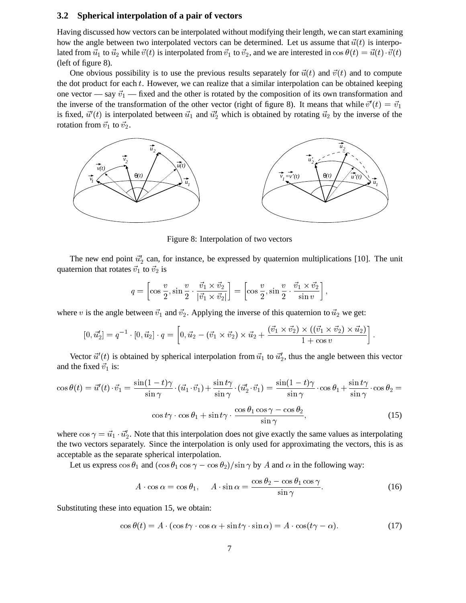#### **3.2 Spherical interpolation of a pair of vectors**

Having discussed how vectors can be interpolated without modifying their length, we can start examining how the angle between two interpolated vectors can be determined. Let us assume that  $\vec{u}(t)$  is interpolated from  $\vec{u}_1$  to  $\vec{u}_2$  while  $\vec{v}(t)$  is interpolated from  $\vec{v}_1$  to  $\vec{v}_2$ , and we are interested in cos  $\theta(t) = \vec{u}(t) \cdot \vec{v}(t)$ (left of figure 8).

One obvious possibility is to use the previous results separately for  $\vec{u}(t)$  and  $\vec{v}(t)$  and to compute the dot product for each  $t$ . However, we can realize that a similar interpolation can be obtained keeping one vector — say  $\vec{v}_1$  — fixed and the other is rotated by the composition of its own transformation and the inverse of the transformation of the other vector (right of figure 8). It means that while  $\vec{v}'(t) = \vec{v}_1$ is fixed,  $\vec{u}'(t)$  is interpolated between  $\vec{u}_1$  and  $\vec{u}'_2$  which is obtained by rotating  $\vec{u}_2$  by the inverse of the rotation from  $\vec{v}_1$  to  $\vec{v}_2$ .



Figure 8: Interpolation of two vectors

The new end point  $\vec{u}_2$  can, for instance, be expressed by quaternion multiplications [10]. The unit quaternion that rotates  $\vec{v}_1$  to  $\vec{v}_2$  is

$$
q = \left[\cos\frac{v}{2}, \sin\frac{v}{2} \cdot \frac{\vec{v}_1 \times \vec{v}_2}{|\vec{v}_1 \times \vec{v}_2|}\right] = \left[\cos\frac{v}{2}, \sin\frac{v}{2} \cdot \frac{\vec{v}_1 \times \vec{v}_2}{\sin v}\right],
$$

where v is the angle between  $\vec{v}_1$  and  $\vec{v}_2$ . Applying the inverse of this quaternion to  $\vec{u}_2$  we get:

$$
[0, \vec{u}_2'] = q^{-1} \cdot [0, \vec{u}_2] \cdot q = \left[0, \vec{u}_2 - (\vec{v}_1 \times \vec{v}_2) \times \vec{u}_2 + \frac{(\vec{v}_1 \times \vec{v}_2) \times ((\vec{v}_1 \times \vec{v}_2) \times \vec{u}_2)}{1 + \cos v}\right].
$$

Vector  $\vec{u}'(t)$  is obtained by spherical interpolation from  $\vec{u}_1$  to  $\vec{u}'_2$ , thus the angle between this vector and the fixed  $\vec{v}_1$  is:

$$
\cos \theta(t) = \vec{u}'(t) \cdot \vec{v}_1 = \frac{\sin(1-t)\gamma}{\sin \gamma} \cdot (\vec{u}_1 \cdot \vec{v}_1) + \frac{\sin t\gamma}{\sin \gamma} \cdot (\vec{u}'_2 \cdot \vec{v}_1) = \frac{\sin(1-t)\gamma}{\sin \gamma} \cdot \cos \theta_1 + \frac{\sin t\gamma}{\sin \gamma} \cdot \cos \theta_2 =
$$

$$
\cos t\gamma \cdot \cos \theta_1 + \sin t\gamma \cdot \frac{\cos \theta_1 \cos \gamma - \cos \theta_2}{\sin \gamma},
$$
(15)

where  $\cos \gamma = \vec{u}_1 \cdot \vec{u}'_2$ . Note that this interpolation does not give exactly the same values as interpolating the two vectors separately. Since the interpolation is only used for approximating the vectors, this is as acceptable as the separate spherical interpolation.

Let us express  $\cos \theta_1$  and  $(\cos \theta_1 \cos \gamma - \cos \theta_2)/\sin \gamma$  by A and  $\alpha$  in the following way:

$$
A \cdot \cos \alpha = \cos \theta_1, \quad A \cdot \sin \alpha = \frac{\cos \theta_2 - \cos \theta_1 \cos \gamma}{\sin \gamma}.
$$
 (16)

Substituting these into equation 15, we obtain:

$$
\cos \theta(t) = A \cdot (\cos t \gamma \cdot \cos \alpha + \sin t \gamma \cdot \sin \alpha) = A \cdot \cos(t \gamma - \alpha). \tag{17}
$$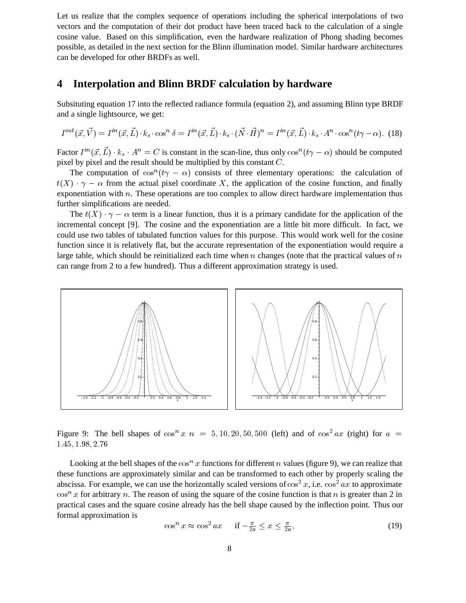Let us realize that the complex sequence of operations including the spherical interpolations of two vectors and the computation of their dot product have been traced back to the calculation of a single cosine value. Based on this simplification, even the hardware realization of Phong shading becomes possible, as detailed in the next section for the Blinn illumination model. Similar hardware architectures can be developed for other BRDFs as well.

### **4 Interpolation and Blinn BRDF calculation by hardware**

Subsituting equation 17 into the reflected radiance formula (equation 2), and assuming Blinn type BRDF and a single lightsource, we get:

$$
I^{out}(\vec{x}, \vec{V}) = I^{in}(\vec{x}, \vec{L}) \cdot k_s \cdot \cos^n \delta = I^{in}(\vec{x}, \vec{L}) \cdot k_s \cdot (\vec{N} \cdot \vec{H})^n = I^{in}(\vec{x}, \vec{L}) \cdot k_s \cdot A^n \cdot \cos^n(t\gamma - \alpha). \tag{18}
$$

Factor  $I^{in}(\vec{x}, L) \cdot k_s \cdot A^n = C$  is constant in the scan-line, thus only  $\cos^n(t\gamma - \alpha)$  should be computed pixel by pixel and the result should be multiplied by this constant C.

The computation of  $\cos^n(t\gamma - \alpha)$  consists of three elementary operations: the calculation of  $t(X) \cdot \gamma - \alpha$  from the actual pixel coordinate X, the application of the cosine function, and finally exponentiation with n. These operations are too complex to allow direct hardware implementation thus further simplifications are needed.

The  $t(X) \cdot \gamma - \alpha$  term is a linear function, thus it is a primary candidate for the application of the incremental concept [9]. The cosine and the exponentiation are a little bit more difficult. In fact, we could use two tables of tabulated function values for this purpose. This would work well for the cosine function since it is relatively flat, but the accurate representation of the exponentiation would require a large table, which should be reinitialized each time when n changes (note that the practical values of  $n$ ) can range from 2 to a few hundred). Thus a different approximation strategy is used.



Figure 9: The bell shapes of  $\cos^n x$  n = 5, 10, 20, 50, 500 (left) and of  $\cos^2 ax$  (right) for  $a =$ 1:45; 1:98; 2:76

Looking at the bell shapes of the  $\cos^n x$  functions for different n values (figure 9), we can realize that these functions are approximately similar and can be transformed to each other by properly scaling the abscissa. For example, we can use the horizontally scaled versions of  $\cos^2 x$ , i.e.  $\cos^2 ax$  to approximate  $\cos^n x$  for arbitrary n. The reason of using the square of the cosine function is that n is greater than 2 in practical cases and the square cosine already has the bell shape caused by the inflection point. Thus our formal approximation is

$$
\cos^n x \approx \cos^2 ax \quad \text{if } -\frac{\pi}{2a} \le x \le \frac{\pi}{2a},\tag{19}
$$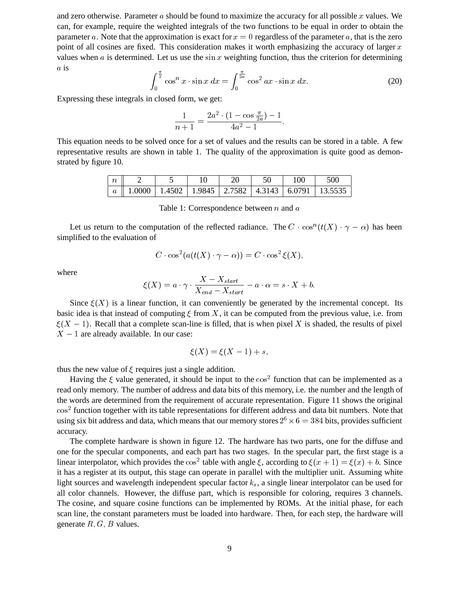and zero otherwise. Parameter  $a$  should be found to maximize the accuracy for all possible  $x$  values. We can, for example, require the weighted integrals of the two functions to be equal in order to obtain the parameter a. Note that the approximation is exact for  $x = 0$  regardless of the parameter a, that is the zero point of all cosines are fixed. This consideration makes it worth emphasizing the accuracy of larger  $x$ values when  $a$  is determined. Let us use the sin  $x$  weighting function, thus the criterion for determining a is

$$
\int_0^{\frac{\pi}{2}} \cos^n x \cdot \sin x \, dx = \int_0^{\frac{\pi}{2a}} \cos^2 ax \cdot \sin x \, dx. \tag{20}
$$

Expressing these integrals in closed form, we get:

$$
\frac{1}{n+1} = \frac{2a^2 \cdot (1 - \cos \frac{\pi}{2a}) - 1}{4a^2 - 1}.
$$

This equation needs to be solved once for a set of values and the results can be stored in a table. A few representative results are shown in table 1. The quality of the approximation is quite good as demonstrated by figure 10.

| $\cdot$ $\,$ |  |  |  | 500                                                                         |
|--------------|--|--|--|-----------------------------------------------------------------------------|
|              |  |  |  | $a \parallel 1.0000$   1.4502   1.9845   2.7582   4.3143   6.0791   13.5535 |

Table 1: Correspondence between  $n$  and  $a$ 

Let us return to the computation of the reflected radiance. The  $C \cdot \cos^n(t(X) \cdot \gamma - \alpha)$  has been simplified to the evaluation of

$$
C\cdot \cos^2(a(t(X)\cdot \gamma - \alpha)) = C\cdot \cos^2\xi(X),
$$

where

$$
\xi(X) = a \cdot \gamma \cdot \frac{X - X_{start}}{X_{end} - X_{start}} - a \cdot \alpha = s \cdot X + b.
$$

Since  $\xi(X)$  is a linear function, it can conveniently be generated by the incremental concept. Its basic idea is that instead of computing  $\xi$  from X, it can be computed from the previous value, i.e. from  $\xi(X - 1)$ . Recall that a complete scan-line is filled, that is when pixel X is shaded, the results of pixel  $X - 1$  are already available. In our case:

$$
\xi(X) = \xi(X-1) + s,
$$

thus the new value of  $\xi$  requires just a single addition.

Having the  $\xi$  value generated, it should be input to the  $\cos^2$  function that can be implemented as a read only memory. The number of address and data bits of this memory, i.e. the number and the length of the words are determined from the requirement of accurate representation. Figure 11 shows the original cos<sup>2</sup> function together with its table representations for different address and data bit numbers. Note that using six bit address and data, which means that our memory stores  $2^6 \times 6 = 384$  bits, provides sufficient accuracy.

The complete hardware is shown in figure 12. The hardware has two parts, one for the diffuse and one for the specular components, and each part has two stages. In the specular part, the first stage is a linear interpolator, which provides the  $\cos^2$  table with angle  $\xi$ , according to  $\xi(x+1) = \xi(x) + b$ . Since it has a register at its output, this stage can operate in parallel with the multiplier unit. Assuming white light sources and wavelength independent specular factor  $k<sub>s</sub>$ , a single linear interpolator can be used for all color channels. However, the diffuse part, which is responsible for coloring, requires 3 channels. The cosine, and square cosine functions can be implemented by ROMs. At the initial phase, for each scan line, the constant parameters must be loaded into hardware. Then, for each step, the hardware will generate  $R, G, B$  values.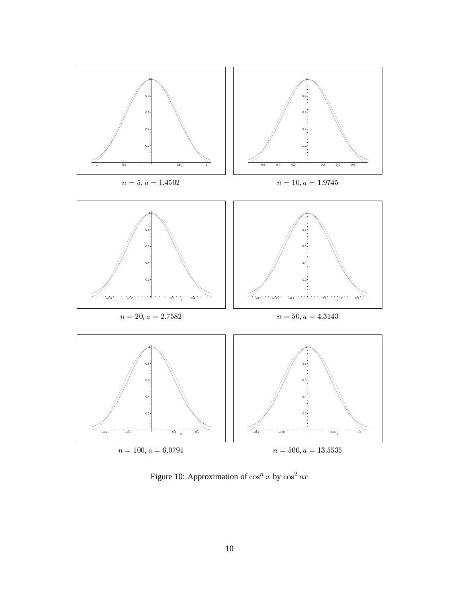

Figure 10: Approximation of  $\cos^n x$  by  $\cos^2 ax$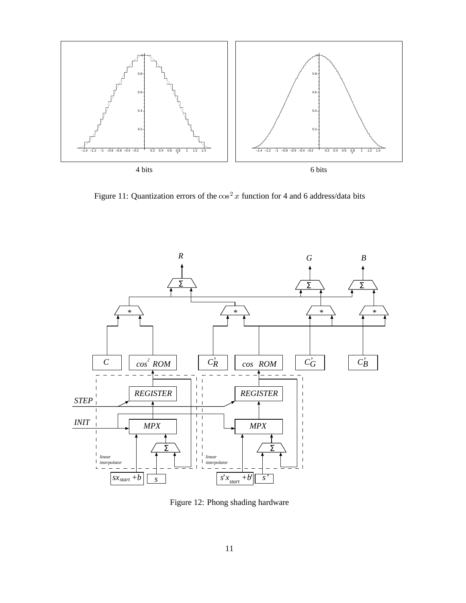

Figure 11: Quantization errors of the  $\cos^2 x$  function for 4 and 6 address/data bits



Figure 12: Phong shading hardware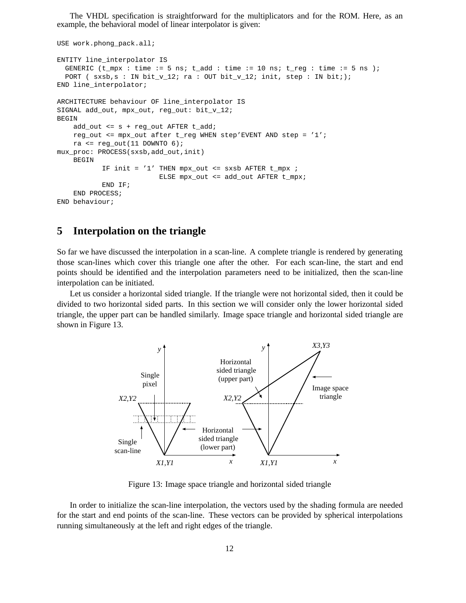The VHDL specification is straightforward for the multiplicators and for the ROM. Here, as an example, the behavioral model of linear interpolator is given:

```
USE work.phong_pack.all;
ENTITY line_interpolator IS
  GENERIC (t_{\text{max}} : t_{\text{min}} : = 5 ns; t_{\text{add}} : t_{\text{min}} : = 10 ns; t_{\text{reg}} : t_{\text{min}} : = 5 ns );
  PORT ( sxsb,s : IN bit_v12; ra : OUT bit_v12; init, step : IN bit;;
END line_interpolator;
ARCHITECTURE behaviour OF line_interpolator IS
SIGNAL add_out, mpx_out, reg_out: bit_v_12;
BEGIN
    add_out <= s + reg_out AFTER t_add;
    reg_out <= mpx_out after t_reg WHEN step'EVENT AND step = '1';
    ra <= reg\_out(11 DOWNTO 6);
mux_proc: PROCESS(sxsb,add_out,init)
    BEGIN
            IF init = '1' THEN mpx_out <= sxsb AFTER t_mpx ;
                           ELSE mpx_out <= add_out AFTER t_mpx;
            END IF;
    END PROCESS;
END behaviour;
```
### **5 Interpolation on the triangle**

So far we have discussed the interpolation in a scan-line. A complete triangle is rendered by generating those scan-lines which cover this triangle one after the other. For each scan-line, the start and end points should be identified and the interpolation parameters need to be initialized, then the scan-line interpolation can be initiated.

Let us consider a horizontal sided triangle. If the triangle were not horizontal sided, then it could be divided to two horizontal sided parts. In this section we will consider only the lower horizontal sided triangle, the upper part can be handled similarly. Image space triangle and horizontal sided triangle are shown in Figure 13.



Figure 13: Image space triangle and horizontal sided triangle

In order to initialize the scan-line interpolation, the vectors used by the shading formula are needed for the start and end points of the scan-line. These vectors can be provided by spherical interpolations running simultaneously at the left and right edges of the triangle.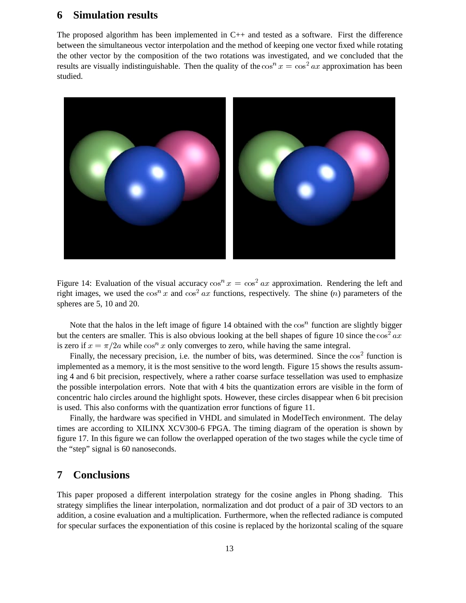### **6 Simulation results**

The proposed algorithm has been implemented in C++ and tested as a software. First the difference between the simultaneous vector interpolation and the method of keeping one vector fixed while rotating the other vector by the composition of the two rotations was investigated, and we concluded that the results are visually indistinguishable. Then the quality of the  $\cos^n x = \cos^2 ax$  approximation has been studied.



Figure 14: Evaluation of the visual accuracy  $\cos^n x = \cos^2 ax$  approximation. Rendering the left and right images, we used the  $\cos^n x$  and  $\cos^2 ax$  functions, respectively. The shine (n) parameters of the spheres are 5, 10 and 20.

Note that the halos in the left image of figure 14 obtained with the  $\cos^n$  function are slightly bigger but the centers are smaller. This is also obvious looking at the bell shapes of figure 10 since the  $\cos^2 ax$ is zero if  $x = \pi/2a$  while cos<sup>n</sup> x only converges to zero, while having the same integral.

Finally, the necessary precision, i.e. the number of bits, was determined. Since the  $\cos^2$  function is implemented as a memory, it is the most sensitive to the word length. Figure 15 shows the results assuming 4 and 6 bit precision, respectively, where a rather coarse surface tessellation was used to emphasize the possible interpolation errors. Note that with 4 bits the quantization errors are visible in the form of concentric halo circles around the highlight spots. However, these circles disappear when 6 bit precision is used. This also conforms with the quantization error functions of figure 11.

Finally, the hardware was specified in VHDL and simulated in ModelTech environment. The delay times are according to XILINX XCV300-6 FPGA. The timing diagram of the operation is shown by figure 17. In this figure we can follow the overlapped operation of the two stages while the cycle time of the "step" signal is 60 nanoseconds.

# **7 Conclusions**

This paper proposed a different interpolation strategy for the cosine angles in Phong shading. This strategy simplifies the linear interpolation, normalization and dot product of a pair of 3D vectors to an addition, a cosine evaluation and a multiplication. Furthermore, when the reflected radiance is computed for specular surfaces the exponentiation of this cosine is replaced by the horizontal scaling of the square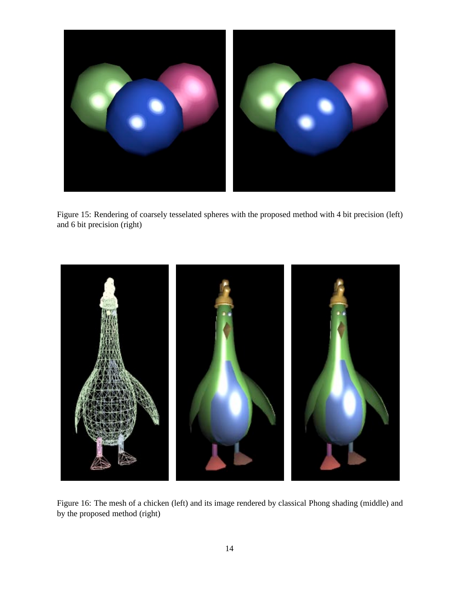

Figure 15: Rendering of coarsely tesselated spheres with the proposed method with 4 bit precision (left) and 6 bit precision (right)



Figure 16: The mesh of a chicken (left) and its image rendered by classical Phong shading (middle) and by the proposed method (right)